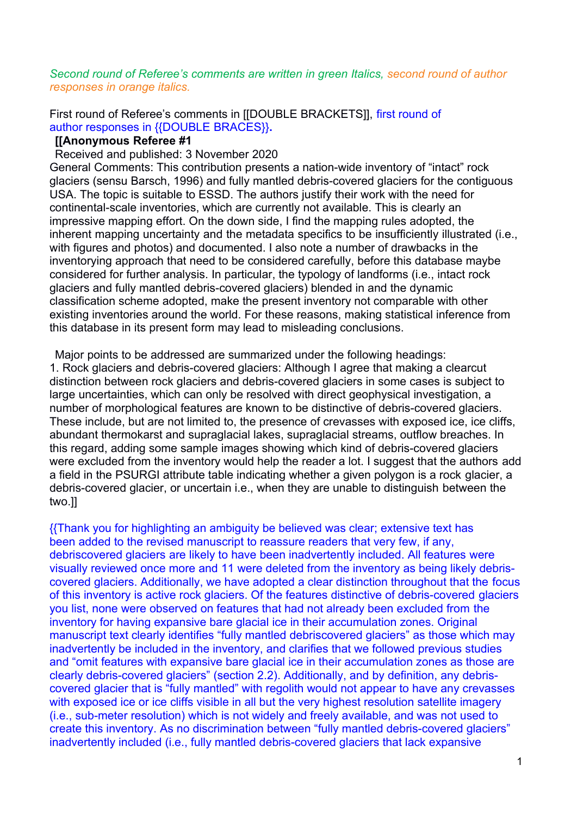### *Second round of Referee's comments are written in green Italics, second round of author responses in orange italics.*

First round of Referee's comments in [[DOUBLE BRACKETS]], first round of author responses in {{DOUBLE BRACES}}**.**

#### **[[Anonymous Referee #1**

Received and published: 3 November 2020

General Comments: This contribution presents a nation-wide inventory of "intact" rock glaciers (sensu Barsch, 1996) and fully mantled debris-covered glaciers for the contiguous USA. The topic is suitable to ESSD. The authors justify their work with the need for continental-scale inventories, which are currently not available. This is clearly an impressive mapping effort. On the down side, I find the mapping rules adopted, the inherent mapping uncertainty and the metadata specifics to be insufficiently illustrated (i.e., with figures and photos) and documented. I also note a number of drawbacks in the inventorying approach that need to be considered carefully, before this database maybe considered for further analysis. In particular, the typology of landforms (i.e., intact rock glaciers and fully mantled debris-covered glaciers) blended in and the dynamic classification scheme adopted, make the present inventory not comparable with other existing inventories around the world. For these reasons, making statistical inference from this database in its present form may lead to misleading conclusions.

Major points to be addressed are summarized under the following headings: 1. Rock glaciers and debris-covered glaciers: Although I agree that making a clearcut distinction between rock glaciers and debris-covered glaciers in some cases is subject to large uncertainties, which can only be resolved with direct geophysical investigation, a number of morphological features are known to be distinctive of debris-covered glaciers. These include, but are not limited to, the presence of crevasses with exposed ice, ice cliffs, abundant thermokarst and supraglacial lakes, supraglacial streams, outflow breaches. In this regard, adding some sample images showing which kind of debris-covered glaciers were excluded from the inventory would help the reader a lot. I suggest that the authors add a field in the PSURGI attribute table indicating whether a given polygon is a rock glacier, a debris-covered glacier, or uncertain i.e., when they are unable to distinguish between the two.]]

{{Thank you for highlighting an ambiguity be believed was clear; extensive text has been added to the revised manuscript to reassure readers that very few, if any, debriscovered glaciers are likely to have been inadvertently included. All features were visually reviewed once more and 11 were deleted from the inventory as being likely debriscovered glaciers. Additionally, we have adopted a clear distinction throughout that the focus of this inventory is active rock glaciers. Of the features distinctive of debris-covered glaciers you list, none were observed on features that had not already been excluded from the inventory for having expansive bare glacial ice in their accumulation zones. Original manuscript text clearly identifies "fully mantled debriscovered glaciers" as those which may inadvertently be included in the inventory, and clarifies that we followed previous studies and "omit features with expansive bare glacial ice in their accumulation zones as those are clearly debris-covered glaciers" (section 2.2). Additionally, and by definition, any debriscovered glacier that is "fully mantled" with regolith would not appear to have any crevasses with exposed ice or ice cliffs visible in all but the very highest resolution satellite imagery (i.e., sub-meter resolution) which is not widely and freely available, and was not used to create this inventory. As no discrimination between "fully mantled debris-covered glaciers" inadvertently included (i.e., fully mantled debris-covered glaciers that lack expansive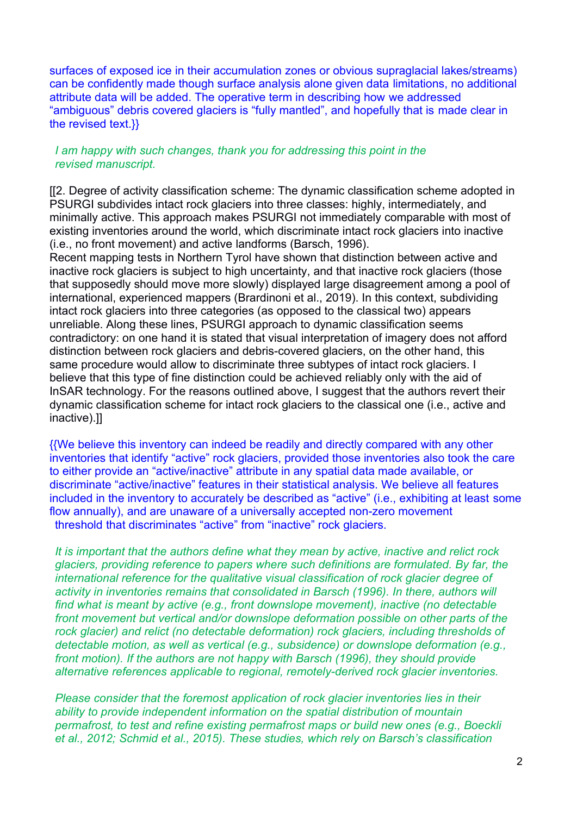surfaces of exposed ice in their accumulation zones or obvious supraglacial lakes/streams) can be confidently made though surface analysis alone given data limitations, no additional attribute data will be added. The operative term in describing how we addressed "ambiguous" debris covered glaciers is "fully mantled", and hopefully that is made clear in the revised text.}}

# *I am happy with such changes, thank you for addressing this point in the revised manuscript.*

[[2. Degree of activity classification scheme: The dynamic classification scheme adopted in PSURGI subdivides intact rock glaciers into three classes: highly, intermediately, and minimally active. This approach makes PSURGI not immediately comparable with most of existing inventories around the world, which discriminate intact rock glaciers into inactive (i.e., no front movement) and active landforms (Barsch, 1996).

Recent mapping tests in Northern Tyrol have shown that distinction between active and inactive rock glaciers is subject to high uncertainty, and that inactive rock glaciers (those that supposedly should move more slowly) displayed large disagreement among a pool of international, experienced mappers (Brardinoni et al., 2019). In this context, subdividing intact rock glaciers into three categories (as opposed to the classical two) appears unreliable. Along these lines, PSURGI approach to dynamic classification seems contradictory: on one hand it is stated that visual interpretation of imagery does not afford distinction between rock glaciers and debris-covered glaciers, on the other hand, this same procedure would allow to discriminate three subtypes of intact rock glaciers. I believe that this type of fine distinction could be achieved reliably only with the aid of InSAR technology. For the reasons outlined above, I suggest that the authors revert their dynamic classification scheme for intact rock glaciers to the classical one (i.e., active and inactive).]]

{{We believe this inventory can indeed be readily and directly compared with any other inventories that identify "active" rock glaciers, provided those inventories also took the care to either provide an "active/inactive" attribute in any spatial data made available, or discriminate "active/inactive" features in their statistical analysis. We believe all features included in the inventory to accurately be described as "active" (i.e., exhibiting at least some flow annually), and are unaware of a universally accepted non-zero movement threshold that discriminates "active" from "inactive" rock glaciers.

*It is important that the authors define what they mean by active, inactive and relict rock glaciers, providing reference to papers where such definitions are formulated. By far, the international reference for the qualitative visual classification of rock glacier degree of activity in inventories remains that consolidated in Barsch (1996). In there, authors will find what is meant by active (e.g., front downslope movement), inactive (no detectable front movement but vertical and/or downslope deformation possible on other parts of the rock glacier) and relict (no detectable deformation) rock glaciers, including thresholds of detectable motion, as well as vertical (e.g., subsidence) or downslope deformation (e.g., front motion). If the authors are not happy with Barsch (1996), they should provide alternative references applicable to regional, remotely-derived rock glacier inventories.*

*Please consider that the foremost application of rock glacier inventories lies in their ability to provide independent information on the spatial distribution of mountain permafrost, to test and refine existing permafrost maps or build new ones (e.g., Boeckli et al., 2012; Schmid et al., 2015). These studies, which rely on Barsch's classification*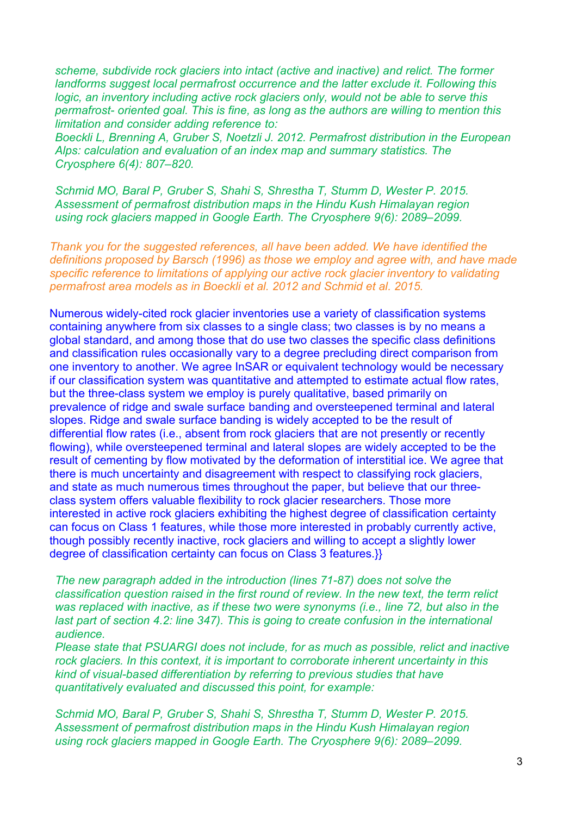*scheme, subdivide rock glaciers into intact (active and inactive) and relict. The former landforms suggest local permafrost occurrence and the latter exclude it. Following this logic, an inventory including active rock glaciers only, would not be able to serve this permafrost- oriented goal. This is fine, as long as the authors are willing to mention this limitation and consider adding reference to:*

*Boeckli L, Brenning A, Gruber S, Noetzli J. 2012. Permafrost distribution in the European Alps: calculation and evaluation of an index map and summary statistics. The Cryosphere 6(4): 807–820.*

*Schmid MO, Baral P, Gruber S, Shahi S, Shrestha T, Stumm D, Wester P. 2015. Assessment of permafrost distribution maps in the Hindu Kush Himalayan region using rock glaciers mapped in Google Earth. The Cryosphere 9(6): 2089–2099.*

*Thank you for the suggested references, all have been added. We have identified the definitions proposed by Barsch (1996) as those we employ and agree with, and have made specific reference to limitations of applying our active rock glacier inventory to validating permafrost area models as in Boeckli et al. 2012 and Schmid et al. 2015.*

Numerous widely-cited rock glacier inventories use a variety of classification systems containing anywhere from six classes to a single class; two classes is by no means a global standard, and among those that do use two classes the specific class definitions and classification rules occasionally vary to a degree precluding direct comparison from one inventory to another. We agree InSAR or equivalent technology would be necessary if our classification system was quantitative and attempted to estimate actual flow rates, but the three-class system we employ is purely qualitative, based primarily on prevalence of ridge and swale surface banding and oversteepened terminal and lateral slopes. Ridge and swale surface banding is widely accepted to be the result of differential flow rates (i.e., absent from rock glaciers that are not presently or recently flowing), while oversteepened terminal and lateral slopes are widely accepted to be the result of cementing by flow motivated by the deformation of interstitial ice. We agree that there is much uncertainty and disagreement with respect to classifying rock glaciers, and state as much numerous times throughout the paper, but believe that our threeclass system offers valuable flexibility to rock glacier researchers. Those more interested in active rock glaciers exhibiting the highest degree of classification certainty can focus on Class 1 features, while those more interested in probably currently active, though possibly recently inactive, rock glaciers and willing to accept a slightly lower degree of classification certainty can focus on Class 3 features.}}

*The new paragraph added in the introduction (lines 71-87) does not solve the classification question raised in the first round of review. In the new text, the term relict was replaced with inactive, as if these two were synonyms (i.e., line 72, but also in the last part of section 4.2: line 347). This is going to create confusion in the international audience.*

*Please state that PSUARGI does not include, for as much as possible, relict and inactive rock glaciers. In this context, it is important to corroborate inherent uncertainty in this kind of visual-based differentiation by referring to previous studies that have quantitatively evaluated and discussed this point, for example:*

*Schmid MO, Baral P, Gruber S, Shahi S, Shrestha T, Stumm D, Wester P. 2015. Assessment of permafrost distribution maps in the Hindu Kush Himalayan region using rock glaciers mapped in Google Earth. The Cryosphere 9(6): 2089–2099.*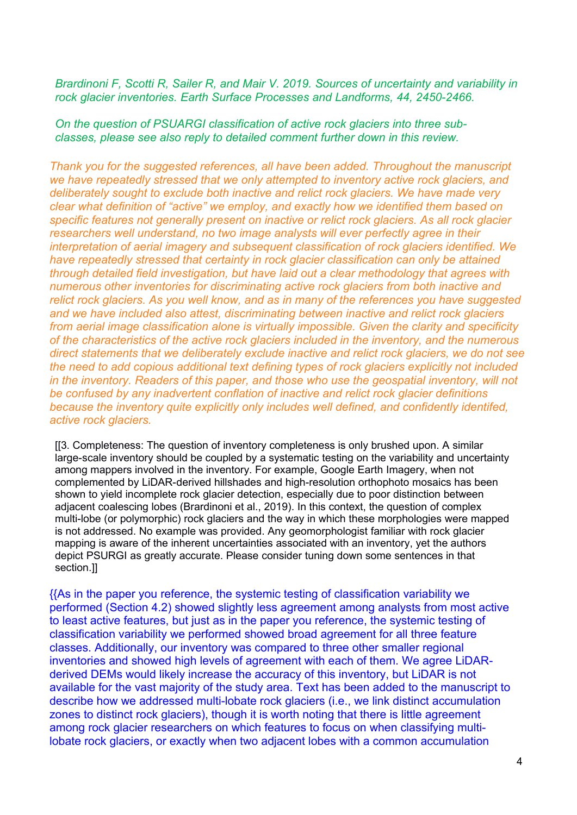*Brardinoni F, Scotti R, Sailer R, and Mair V. 2019. Sources of uncertainty and variability in rock glacier inventories. Earth Surface Processes and Landforms, 44, 2450-2466.*

## *On the question of PSUARGI classification of active rock glaciers into three subclasses, please see also reply to detailed comment further down in this review.*

*Thank you for the suggested references, all have been added. Throughout the manuscript we have repeatedly stressed that we only attempted to inventory active rock glaciers, and deliberately sought to exclude both inactive and relict rock glaciers. We have made very clear what definition of "active" we employ, and exactly how we identified them based on specific features not generally present on inactive or relict rock glaciers. As all rock glacier researchers well understand, no two image analysts will ever perfectly agree in their interpretation of aerial imagery and subsequent classification of rock glaciers identified. We have repeatedly stressed that certainty in rock glacier classification can only be attained through detailed field investigation, but have laid out a clear methodology that agrees with numerous other inventories for discriminating active rock glaciers from both inactive and relict rock glaciers. As you well know, and as in many of the references you have suggested and we have included also attest, discriminating between inactive and relict rock glaciers from aerial image classification alone is virtually impossible. Given the clarity and specificity of the characteristics of the active rock glaciers included in the inventory, and the numerous direct statements that we deliberately exclude inactive and relict rock glaciers, we do not see the need to add copious additional text defining types of rock glaciers explicitly not included in the inventory. Readers of this paper, and those who use the geospatial inventory, will not be confused by any inadvertent conflation of inactive and relict rock glacier definitions because the inventory quite explicitly only includes well defined, and confidently identifed, active rock glaciers.*

[[3. Completeness: The question of inventory completeness is only brushed upon. A similar large-scale inventory should be coupled by a systematic testing on the variability and uncertainty among mappers involved in the inventory. For example, Google Earth Imagery, when not complemented by LiDAR-derived hillshades and high-resolution orthophoto mosaics has been shown to yield incomplete rock glacier detection, especially due to poor distinction between adjacent coalescing lobes (Brardinoni et al., 2019). In this context, the question of complex multi-lobe (or polymorphic) rock glaciers and the way in which these morphologies were mapped is not addressed. No example was provided. Any geomorphologist familiar with rock glacier mapping is aware of the inherent uncertainties associated with an inventory, yet the authors depict PSURGI as greatly accurate. Please consider tuning down some sentences in that section.]]

{{As in the paper you reference, the systemic testing of classification variability we performed (Section 4.2) showed slightly less agreement among analysts from most active to least active features, but just as in the paper you reference, the systemic testing of classification variability we performed showed broad agreement for all three feature classes. Additionally, our inventory was compared to three other smaller regional inventories and showed high levels of agreement with each of them. We agree LiDARderived DEMs would likely increase the accuracy of this inventory, but LiDAR is not available for the vast majority of the study area. Text has been added to the manuscript to describe how we addressed multi-lobate rock glaciers (i.e., we link distinct accumulation zones to distinct rock glaciers), though it is worth noting that there is little agreement among rock glacier researchers on which features to focus on when classifying multilobate rock glaciers, or exactly when two adjacent lobes with a common accumulation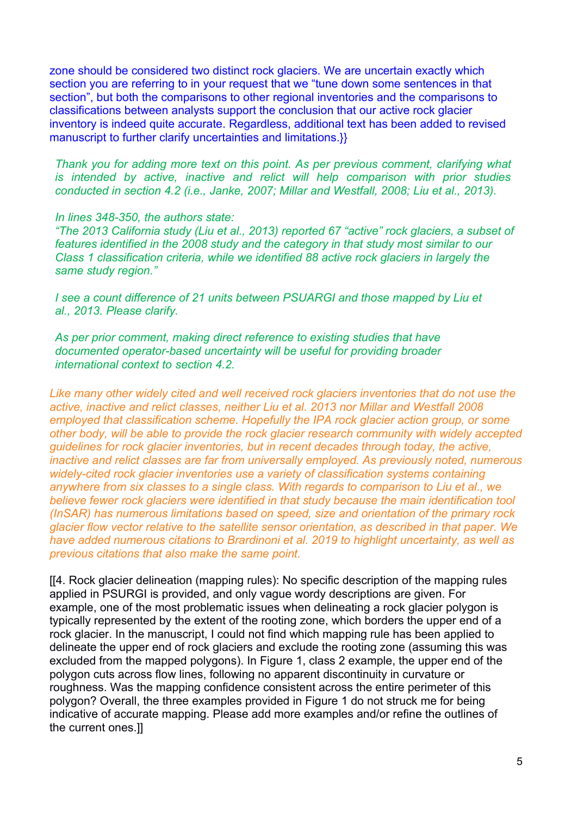zone should be considered two distinct rock glaciers. We are uncertain exactly which section you are referring to in your request that we "tune down some sentences in that section", but both the comparisons to other regional inventories and the comparisons to classifications between analysts support the conclusion that our active rock glacier inventory is indeed quite accurate. Regardless, additional text has been added to revised manuscript to further clarify uncertainties and limitations.}}

*Thank you for adding more text on this point. As per previous comment, clarifying what is intended by active, inactive and relict will help comparison with prior studies conducted in section 4.2 (i.e., Janke, 2007; Millar and Westfall, 2008; Liu et al., 2013).*

### *In lines 348-350, the authors state:*

*"The 2013 California study (Liu et al., 2013) reported 67 "active" rock glaciers, a subset of features identified in the 2008 study and the category in that study most similar to our Class 1 classification criteria, while we identified 88 active rock glaciers in largely the same study region."*

*I see a count difference of 21 units between PSUARGI and those mapped by Liu et al., 2013. Please clarify.*

*As per prior comment, making direct reference to existing studies that have documented operator-based uncertainty will be useful for providing broader international context to section 4.2.*

*Like many other widely cited and well received rock glaciers inventories that do not use the active, inactive and relict classes, neither Liu et al. 2013 nor Millar and Westfall 2008*  employed that classification scheme. Hopefully the IPA rock glacier action group, or some *other body, will be able to provide the rock glacier research community with widely accepted guidelines for rock glacier inventories, but in recent decades through today, the active, inactive and relict classes are far from universally employed. As previously noted, numerous widely-cited rock glacier inventories use a variety of classification systems containing anywhere from six classes to a single class. With regards to comparison to Liu et al., we believe fewer rock glaciers were identified in that study because the main identification tool (InSAR) has numerous limitations based on speed, size and orientation of the primary rock glacier flow vector relative to the satellite sensor orientation, as described in that paper. We have added numerous citations to Brardinoni et al. 2019 to highlight uncertainty, as well as previous citations that also make the same point.* 

[[4. Rock glacier delineation (mapping rules): No specific description of the mapping rules applied in PSURGI is provided, and only vague wordy descriptions are given. For example, one of the most problematic issues when delineating a rock glacier polygon is typically represented by the extent of the rooting zone, which borders the upper end of a rock glacier. In the manuscript, I could not find which mapping rule has been applied to delineate the upper end of rock glaciers and exclude the rooting zone (assuming this was excluded from the mapped polygons). In Figure 1, class 2 example, the upper end of the polygon cuts across flow lines, following no apparent discontinuity in curvature or roughness. Was the mapping confidence consistent across the entire perimeter of this polygon? Overall, the three examples provided in Figure 1 do not struck me for being indicative of accurate mapping. Please add more examples and/or refine the outlines of the current ones.]]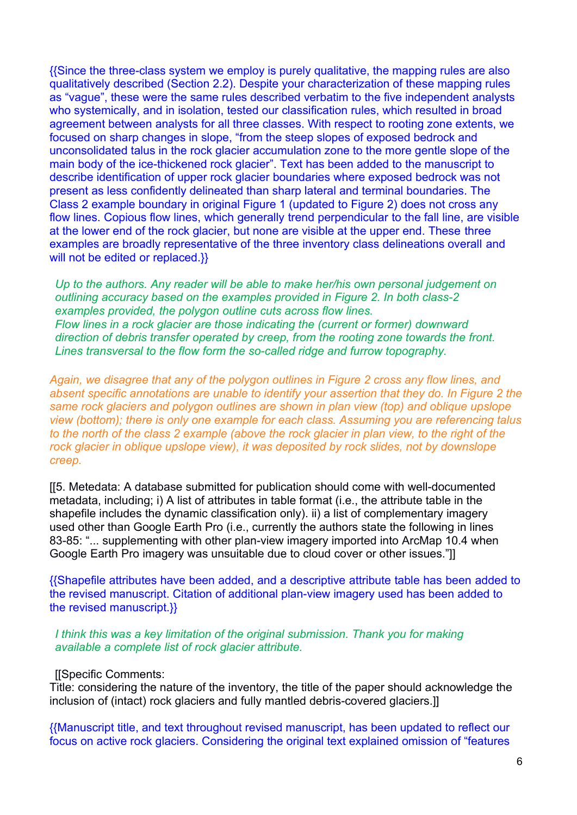{{Since the three-class system we employ is purely qualitative, the mapping rules are also qualitatively described (Section 2.2). Despite your characterization of these mapping rules as "vague", these were the same rules described verbatim to the five independent analysts who systemically, and in isolation, tested our classification rules, which resulted in broad agreement between analysts for all three classes. With respect to rooting zone extents, we focused on sharp changes in slope, "from the steep slopes of exposed bedrock and unconsolidated talus in the rock glacier accumulation zone to the more gentle slope of the main body of the ice-thickened rock glacier". Text has been added to the manuscript to describe identification of upper rock glacier boundaries where exposed bedrock was not present as less confidently delineated than sharp lateral and terminal boundaries. The Class 2 example boundary in original Figure 1 (updated to Figure 2) does not cross any flow lines. Copious flow lines, which generally trend perpendicular to the fall line, are visible at the lower end of the rock glacier, but none are visible at the upper end. These three examples are broadly representative of the three inventory class delineations overall and will not be edited or replaced.}}

*Up to the authors. Any reader will be able to make her/his own personal judgement on outlining accuracy based on the examples provided in Figure 2. In both class-2 examples provided, the polygon outline cuts across flow lines. Flow lines in a rock glacier are those indicating the (current or former) downward direction of debris transfer operated by creep, from the rooting zone towards the front. Lines transversal to the flow form the so-called ridge and furrow topography.*

*Again, we disagree that any of the polygon outlines in Figure 2 cross any flow lines, and absent specific annotations are unable to identify your assertion that they do. In Figure 2 the same rock glaciers and polygon outlines are shown in plan view (top) and oblique upslope view (bottom); there is only one example for each class. Assuming you are referencing talus*  to the north of the class 2 example (above the rock glacier in plan view, to the right of the *rock glacier in oblique upslope view), it was deposited by rock slides, not by downslope creep.* 

[[5. Metedata: A database submitted for publication should come with well-documented metadata, including; i) A list of attributes in table format (i.e., the attribute table in the shapefile includes the dynamic classification only). ii) a list of complementary imagery used other than Google Earth Pro (i.e., currently the authors state the following in lines 83-85: "... supplementing with other plan-view imagery imported into ArcMap 10.4 when Google Earth Pro imagery was unsuitable due to cloud cover or other issues."]]

{{Shapefile attributes have been added, and a descriptive attribute table has been added to the revised manuscript. Citation of additional plan-view imagery used has been added to the revised manuscript.}}

#### *I think this was a key limitation of the original submission. Thank you for making available a complete list of rock glacier attribute.*

#### [[Specific Comments:

Title: considering the nature of the inventory, the title of the paper should acknowledge the inclusion of (intact) rock glaciers and fully mantled debris-covered glaciers.]]

{{Manuscript title, and text throughout revised manuscript, has been updated to reflect our focus on active rock glaciers. Considering the original text explained omission of "features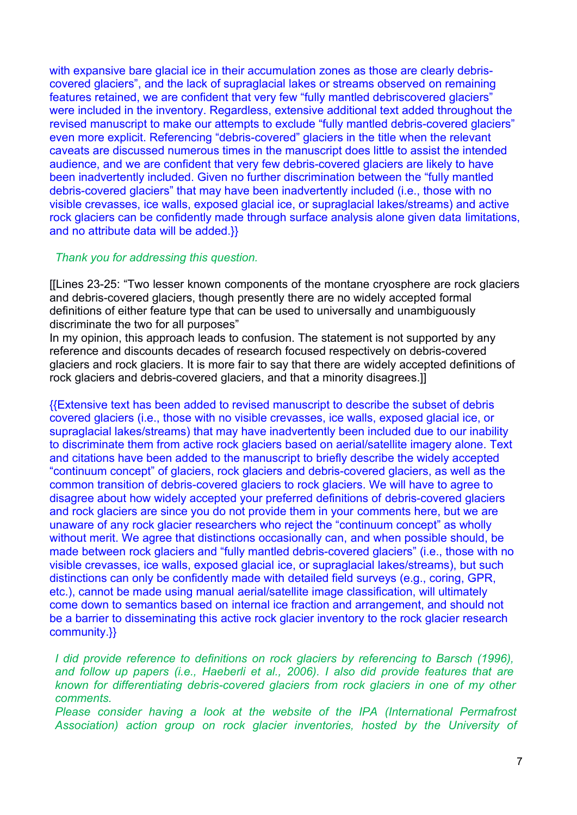with expansive bare glacial ice in their accumulation zones as those are clearly debriscovered glaciers", and the lack of supraglacial lakes or streams observed on remaining features retained, we are confident that very few "fully mantled debriscovered glaciers" were included in the inventory. Regardless, extensive additional text added throughout the revised manuscript to make our attempts to exclude "fully mantled debris-covered glaciers" even more explicit. Referencing "debris-covered" glaciers in the title when the relevant caveats are discussed numerous times in the manuscript does little to assist the intended audience, and we are confident that very few debris-covered glaciers are likely to have been inadvertently included. Given no further discrimination between the "fully mantled debris-covered glaciers" that may have been inadvertently included (i.e., those with no visible crevasses, ice walls, exposed glacial ice, or supraglacial lakes/streams) and active rock glaciers can be confidently made through surface analysis alone given data limitations, and no attribute data will be added.}}

# *Thank you for addressing this question.*

[[Lines 23-25: "Two lesser known components of the montane cryosphere are rock glaciers and debris-covered glaciers, though presently there are no widely accepted formal definitions of either feature type that can be used to universally and unambiguously discriminate the two for all purposes"

In my opinion, this approach leads to confusion. The statement is not supported by any reference and discounts decades of research focused respectively on debris-covered glaciers and rock glaciers. It is more fair to say that there are widely accepted definitions of rock glaciers and debris-covered glaciers, and that a minority disagrees.]]

{{Extensive text has been added to revised manuscript to describe the subset of debris covered glaciers (i.e., those with no visible crevasses, ice walls, exposed glacial ice, or supraglacial lakes/streams) that may have inadvertently been included due to our inability to discriminate them from active rock glaciers based on aerial/satellite imagery alone. Text and citations have been added to the manuscript to briefly describe the widely accepted "continuum concept" of glaciers, rock glaciers and debris-covered glaciers, as well as the common transition of debris-covered glaciers to rock glaciers. We will have to agree to disagree about how widely accepted your preferred definitions of debris-covered glaciers and rock glaciers are since you do not provide them in your comments here, but we are unaware of any rock glacier researchers who reject the "continuum concept" as wholly without merit. We agree that distinctions occasionally can, and when possible should, be made between rock glaciers and "fully mantled debris-covered glaciers" (i.e., those with no visible crevasses, ice walls, exposed glacial ice, or supraglacial lakes/streams), but such distinctions can only be confidently made with detailed field surveys (e.g., coring, GPR, etc.), cannot be made using manual aerial/satellite image classification, will ultimately come down to semantics based on internal ice fraction and arrangement, and should not be a barrier to disseminating this active rock glacier inventory to the rock glacier research community.}}

*I did provide reference to definitions on rock glaciers by referencing to Barsch (1996), and follow up papers (i.e., Haeberli et al., 2006). I also did provide features that are known for differentiating debris-covered glaciers from rock glaciers in one of my other comments.*

*Please consider having a look at the website of the IPA (International Permafrost Association) action group on rock glacier inventories, hosted by the University of*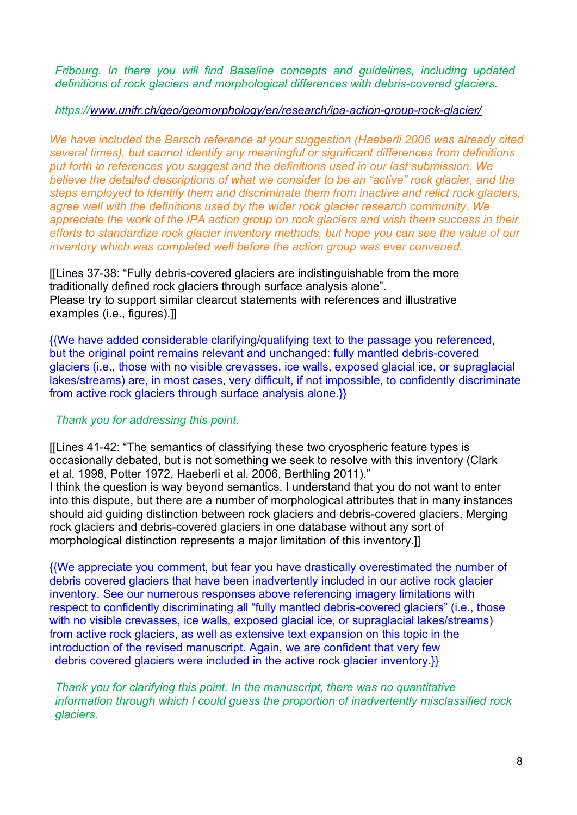*Fribourg. In there you will find Baseline concepts and guidelines, including updated definitions of rock glaciers and morphological differences with debris-covered glaciers.*

## *https:/[/www.unifr.ch/geo/geomorphology/en/research/ipa-action-group-rock-glacier/](http://www.unifr.ch/geo/geomorphology/en/research/ipa-action-group-rock-glacier/)*

*We have included the Barsch reference at your suggestion (Haeberli 2006 was already cited several times), but cannot identify any meaningful or significant differences from definitions put forth in references you suggest and the definitions used in our last submission. We believe the detailed descriptions of what we consider to be an "active" rock glacier, and the steps employed to identify them and discriminate them from inactive and relict rock glaciers, agree well with the definitions used by the wider rock glacier research community. We*  appreciate the work of the IPA action group on rock glaciers and wish them success in their *efforts to standardize rock glacier inventory methods, but hope you can see the value of our inventory which was completed well before the action group was ever convened.* 

[[Lines 37-38: "Fully debris-covered glaciers are indistinguishable from the more traditionally defined rock glaciers through surface analysis alone". Please try to support similar clearcut statements with references and illustrative examples (i.e., figures).]]

{{We have added considerable clarifying/qualifying text to the passage you referenced, but the original point remains relevant and unchanged: fully mantled debris-covered glaciers (i.e., those with no visible crevasses, ice walls, exposed glacial ice, or supraglacial lakes/streams) are, in most cases, very difficult, if not impossible, to confidently discriminate from active rock glaciers through surface analysis alone.}}

# *Thank you for addressing this point.*

[[Lines 41-42: "The semantics of classifying these two cryospheric feature types is occasionally debated, but is not something we seek to resolve with this inventory (Clark et al. 1998, Potter 1972, Haeberli et al. 2006, Berthling 2011)." I think the question is way beyond semantics. I understand that you do not want to enter into this dispute, but there are a number of morphological attributes that in many instances should aid guiding distinction between rock glaciers and debris-covered glaciers. Merging rock glaciers and debris-covered glaciers in one database without any sort of morphological distinction represents a major limitation of this inventory.]]

{{We appreciate you comment, but fear you have drastically overestimated the number of debris covered glaciers that have been inadvertently included in our active rock glacier inventory. See our numerous responses above referencing imagery limitations with respect to confidently discriminating all "fully mantled debris-covered glaciers" (i.e., those with no visible crevasses, ice walls, exposed glacial ice, or supraglacial lakes/streams) from active rock glaciers, as well as extensive text expansion on this topic in the introduction of the revised manuscript. Again, we are confident that very few debris covered glaciers were included in the active rock glacier inventory.}}

*Thank you for clarifying this point. In the manuscript, there was no quantitative information through which I could guess the proportion of inadvertently misclassified rock glaciers.*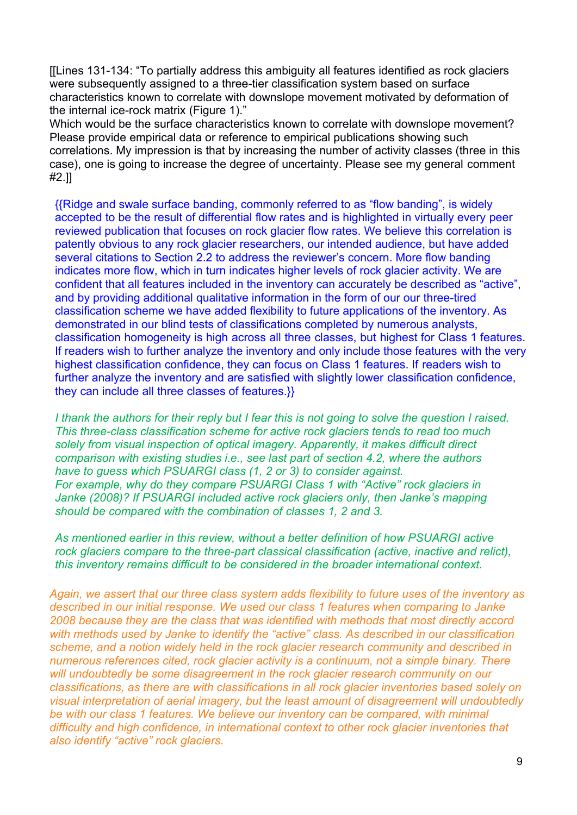[[Lines 131-134: "To partially address this ambiguity all features identified as rock glaciers were subsequently assigned to a three-tier classification system based on surface characteristics known to correlate with downslope movement motivated by deformation of the internal ice-rock matrix (Figure 1)."

Which would be the surface characteristics known to correlate with downslope movement? Please provide empirical data or reference to empirical publications showing such correlations. My impression is that by increasing the number of activity classes (three in this case), one is going to increase the degree of uncertainty. Please see my general comment #2.]]

{{Ridge and swale surface banding, commonly referred to as "flow banding", is widely accepted to be the result of differential flow rates and is highlighted in virtually every peer reviewed publication that focuses on rock glacier flow rates. We believe this correlation is patently obvious to any rock glacier researchers, our intended audience, but have added several citations to Section 2.2 to address the reviewer's concern. More flow banding indicates more flow, which in turn indicates higher levels of rock glacier activity. We are confident that all features included in the inventory can accurately be described as "active", and by providing additional qualitative information in the form of our our three-tired classification scheme we have added flexibility to future applications of the inventory. As demonstrated in our blind tests of classifications completed by numerous analysts, classification homogeneity is high across all three classes, but highest for Class 1 features. If readers wish to further analyze the inventory and only include those features with the very highest classification confidence, they can focus on Class 1 features. If readers wish to further analyze the inventory and are satisfied with slightly lower classification confidence, they can include all three classes of features.}}

*I thank the authors for their reply but I fear this is not going to solve the question I raised. This three-class classification scheme for active rock glaciers tends to read too much solely from visual inspection of optical imagery. Apparently, it makes difficult direct comparison with existing studies i.e., see last part of section 4.2, where the authors have to guess which PSUARGI class (1, 2 or 3) to consider against. For example, why do they compare PSUARGI Class 1 with "Active" rock glaciers in Janke (2008)? If PSUARGI included active rock glaciers only, then Janke's mapping should be compared with the combination of classes 1, 2 and 3.*

*As mentioned earlier in this review, without a better definition of how PSUARGI active rock glaciers compare to the three-part classical classification (active, inactive and relict), this inventory remains difficult to be considered in the broader international context.*

*Again, we assert that our three class system adds flexibility to future uses of the inventory as described in our initial response. We used our class 1 features when comparing to Janke 2008 because they are the class that was identified with methods that most directly accord with methods used by Janke to identify the "active" class. As described in our classification scheme, and a notion widely held in the rock glacier research community and described in numerous references cited, rock glacier activity is a continuum, not a simple binary. There will undoubtedly be some disagreement in the rock glacier research community on our classifications, as there are with classifications in all rock glacier inventories based solely on visual interpretation of aerial imagery, but the least amount of disagreement will undoubtedly be with our class 1 features. We believe our inventory can be compared, with minimal difficulty and high confidence, in international context to other rock glacier inventories that also identify "active" rock glaciers.*